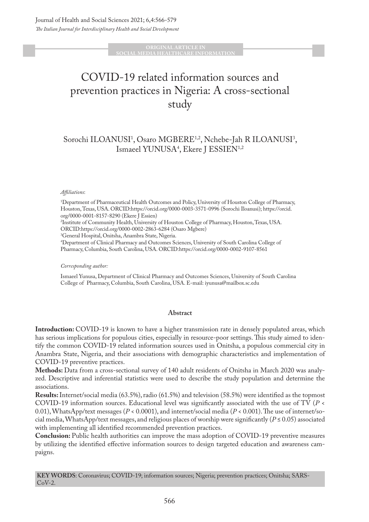#### **ORIGINAL ARTICLE IN SLAMEDIA HEALTHCARE INFORMATION**

# COVID-19 related information sources and prevention practices in Nigeria: A cross-sectional study

# Sorochi ILOANUSI<sup>1</sup>, Osaro MGBERE<sup>1,2</sup>, Nchebe-Jah R ILOANUSI<sup>3</sup>, Ismaeel YUNUSA4 , Ekere J ESSIEN1,2

#### *Affiliations*:

1 Department of Pharmaceutical Health Outcomes and Policy, University of Houston College of Pharmacy, Houston, Texas, USA. ORCID:https://orcid.org/0000-0003-3571-0996 (Sorochi Iloanusi); https://orcid. org/0000-0001-8157-8290 (Ekere J Essien) 2 Institute of Community Health, University of Houston College of Pharmacy, Houston, Texas, USA. ORCID:https://orcid.org/0000-0002-2863-6284 (Osaro Mgbere) 3 General Hospital, Onitsha, Anambra State, Nigeria. 4 Department of Clinical Pharmacy and Outcomes Sciences, University of South Carolina College of Pharmacy, Columbia, South Carolina, USA. ORCID:https://orcid.org/0000-0002-9107-8561

#### *Corresponding author:*

Ismaeel Yunusa, Department of Clinical Pharmacy and Outcomes Sciences, University of South Carolina College of Pharmacy, Columbia, South Carolina, USA. E-mail: iyunusa@mailbox.sc.edu

#### **Abstract**

**Introduction:** COVID-19 is known to have a higher transmission rate in densely populated areas, which has serious implications for populous cities, especially in resource-poor settings. This study aimed to identify the common COVID-19 related information sources used in Onitsha, a populous commercial city in Anambra State, Nigeria, and their associations with demographic characteristics and implementation of COVID-19 preventive practices.

**Methods:** Data from a cross-sectional survey of 140 adult residents of Onitsha in March 2020 was analyzed. Descriptive and inferential statistics were used to describe the study population and determine the associations.

**Results:** Internet/social media (63.5%), radio (61.5%) and television (58.5%) were identified as the topmost COVID-19 information sources. Educational level was significantly associated with the use of TV (*P* < 0.01), WhatsApp/text messages (*P* < 0.0001), and internet/social media (*P* < 0.001). The use of internet/social media, WhatsApp/text messages, and religious places of worship were significantly ( $P \le 0.05$ ) associated with implementing all identified recommended prevention practices.

**Conclusion:** Public health authorities can improve the mass adoption of COVID-19 preventive measures by utilizing the identified effective information sources to design targeted education and awareness campaigns.

**KEY WORDS**: Coronavirus; COVID-19; information sources; Nigeria; prevention practices; Onitsha; SARS-CoV-2.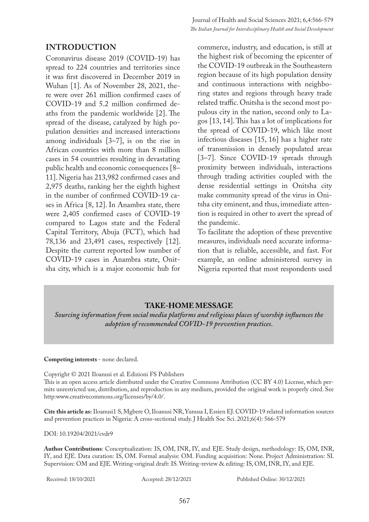#### **INTRODUCTION**

Coronavirus disease 2019 (COVID-19) has spread to 224 countries and territories since it was first discovered in December 2019 in Wuhan [1]. As of November 28, 2021, there were over 261 million confirmed cases of COVID-19 and 5.2 million confirmed deaths from the pandemic worldwide [2]. The spread of the disease, catalyzed by high population densities and increased interactions among individuals [3–7], is on the rise in African countries with more than 8 million cases in 54 countries resulting in devastating public health and economic consequences [8– 11]. Nigeria has 213,982 confirmed cases and 2,975 deaths, ranking her the eighth highest in the number of confirmed COVID-19 cases in Africa [8, 12]. In Anambra state, there were 2,405 confirmed cases of COVID-19 compared to Lagos state and the Federal Capital Territory, Abuja (FCT), which had 78,136 and 23,491 cases, respectively [12]. Despite the current reported low number of COVID-19 cases in Anambra state, Onitsha city, which is a major economic hub for

commerce, industry, and education, is still at the highest risk of becoming the epicenter of the COVID-19 outbreak in the Southeastern region because of its high population density and continuous interactions with neighboring states and regions through heavy trade related traffic. Onitsha is the second most populous city in the nation, second only to Lagos [13, 14]. This has a lot of implications for the spread of COVID-19, which like most infectious diseases [15, 16] has a higher rate of transmission in densely populated areas [3–7]. Since COVID-19 spreads through proximity between individuals, interactions through trading activities coupled with the dense residential settings in Onitsha city make community spread of the virus in Onitsha city eminent, and thus, immediate attention is required in other to avert the spread of the pandemic.

To facilitate the adoption of these preventive measures, individuals need accurate information that is reliable, accessible, and fast. For example, an online administered survey in Nigeria reported that most respondents used

#### **TAKE-HOME MESSAGE**

*Sourcing information from social media platforms and religious places of worship influences the adoption of recommended COVID-19 prevention practices.*

#### **Competing interests** - none declared.

Copyright © 2021 Iloanusi et al. Edizioni FS Publishers This is an open access article distributed under the Creative Commons Attribution (CC BY 4.0) License, which permits unrestricted use, distribution, and reproduction in any medium, provided the original work is properly cited. See http:www.creativecommons.org/licenses/by/4.0/.

**Cite this article as:** Iloanusi1 S, Mgbere O, Iloanusi NR, Yunusa I, Essien EJ. COVID-19 related information sources and prevention practices in Nigeria: A cross-sectional study. J Health Soc Sci. 2021;6(4): 566-579

DOI: 10.19204/2021/cvdr9

**Author Contributions**: Conceptualization: IS, OM, INR, IY, and EJE. Study design, methodology: IS, OM, INR, IY, and EJE. Data curation: IS, OM. Formal analysis: OM. Funding acquisition: None. Project Administration: SI. Supervision: OM and EJE. Writing-original draft: IS. Writing-review & editing: IS, OM, INR, IY, and EJE.

Received: 18/10/2021 Accepted: 28/12/2021 Published Online: 30/12/2021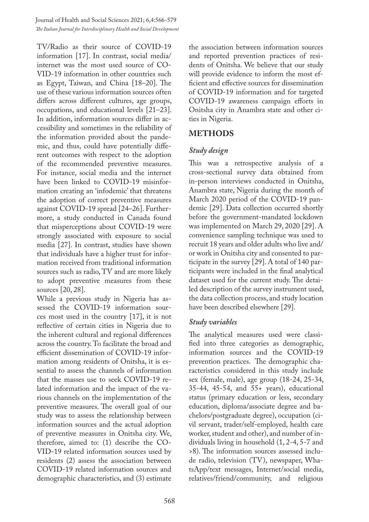TV/Radio as their source of COVID-19 information [17]. In contrast, social media/ internet was the most used source of CO-VID-19 information in other countries such as Egypt, Taiwan, and China [18–20]. The use of these various information sources often differs across different cultures, age groups, occupations, and educational levels [21–23]. In addition, information sources differ in accessibility and sometimes in the reliability of the information provided about the pandemic, and thus, could have potentially different outcomes with respect to the adoption of the recommended preventive measures. For instance, social media and the internet have been linked to COVID-19 misinformation creating an 'infodemic' that threatens the adoption of correct preventive measures against COVID-19 spread [24–26]. Furthermore, a study conducted in Canada found that misperceptions about COVID-19 were strongly associated with exposure to social media [27]. In contrast, studies have shown that individuals have a higher trust for information received from traditional information sources such as radio, TV and are more likely to adopt preventive measures from these sources [20, 28].

While a previous study in Nigeria has assessed the COVID-19 information sources most used in the country [17], it is not reflective of certain cities in Nigeria due to the inherent cultural and regional differences across the country. To facilitate the broad and efficient dissemination of COVID-19 information among residents of Onitsha, it is essential to assess the channels of information that the masses use to seek COVID-19 related information and the impact of the various channels on the implementation of the preventive measures. The overall goal of our study was to assess the relationship between information sources and the actual adoption of preventive measures in Onitsha city. We, therefore, aimed to: (1) describe the CO-VID-19 related information sources used by residents (2) assess the association between COVID-19 related information sources and demographic characteristics, and (3) estimate

the association between information sources and reported prevention practices of residents of Onitsha. We believe that our study will provide evidence to inform the most efficient and effective sources for dissemination of COVID-19 information and for targeted COVID-19 awareness campaign efforts in Onitsha city in Anambra state and other cities in Nigeria.

# **METHODS**

### *Study design*

This was a retrospective analysis of a cross-sectional survey data obtained from in-person interviews conducted in Onitsha, Anambra state, Nigeria during the month of March 2020 period of the COVID-19 pandemic [29]. Data collection occurred shortly before the government-mandated lockdown was implemented on March 29, 2020 [29]. A convenience sampling technique was used to recruit 18 years and older adults who live and/ or work in Onitsha city and consented to participate in the survey [29]. A total of 140 participants were included in the final analytical dataset used for the current study. The detailed description of the survey instrument used, the data collection process, and study location have been described elsewhere [29].

#### *Study variables*

The analytical measures used were classified into three categories as demographic, information sources and the COVID-19 prevention practices. The demographic characteristics considered in this study include sex (female, male), age group (18-24, 25-34, 35-44, 45-54, and 55+ years), educational status (primary education or less, secondary education, diploma/associate degree and bachelors/postgraduate degree), occupation (civil servant, trader/self-employed, health care worker, student and other), and number of individuals living in household (1, 2-4, 5-7 and >8). The information sources assessed include radio, television (TV), newspaper, WhatsApp/text messages, Internet/social media, relatives/friend/community, and religious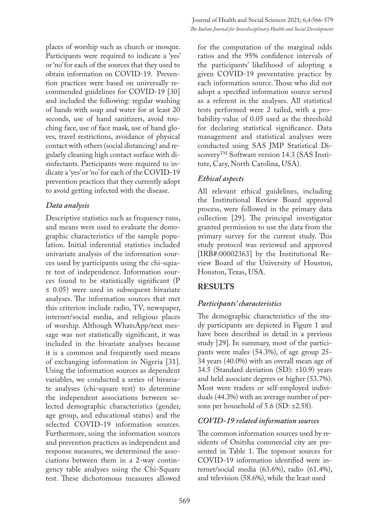places of worship such as church or mosque. Participants were required to indicate a 'yes' or 'no' for each of the sources that they used to obtain information on COVID-19. Prevention practices were based on universally recommended guidelines for COVID-19 [30] and included the following: regular washing of hands with soap and water for at least 20 seconds, use of hand sanitizers, avoid touching face, use of face mask, use of hand gloves, travel restrictions, avoidance of physical contact with others (social distancing) and regularly cleaning high contact surface with disinfectants. Participants were required to indicate a 'yes' or 'no' for each of the COVID-19 prevention practices that they currently adopt to avoid getting infected with the disease.

### *Data analysis*

Descriptive statistics such as frequency runs, and means were used to evaluate the demographic characteristics of the sample population. Initial inferential statistics included univariate analysis of the information sources used by participants using the chi-square test of independence. Information sources found to be statistically significant (P  $\leq$  0.05) were used in subsequent bivariate analyses. The information sources that met this criterion include radio, TV, newspaper, internet/social media, and religious places of worship. Although WhatsApp/text message was not statistically significant, it was included in the bivariate analyses because it is a common and frequently used means of exchanging information in Nigeria [31]. Using the information sources as dependent variables, we conducted a series of bivariate analyses (chi-square test) to determine the independent associations between selected demographic characteristics (gender, age group, and educational status) and the selected COVID-19 information sources. Furthermore, using the information sources and prevention practices as independent and response measures, we determined the associations between them in a 2-way contingency table analyses using the Chi-Square test. These dichotomous measures allowed

for the computation of the marginal odds ratios and the 95% confidence intervals of the participants' likelihood of adopting a given COVID-19 preventative practice by each information source. Those who did not adopt a specified information source served as a referent in the analyses. All statistical tests performed were 2 tailed, with a probability value of 0.05 used as the threshold for declaring statistical significance. Data management and statistical analyses were conducted using SAS JMP Statistical Discovery<sup>TM</sup> Software version 14.3 (SAS Institute, Cary, North Carolina, USA).

# *Ethical aspects*

All relevant ethical guidelines, including the Institutional Review Board approval process, were followed in the primary data collection [29]. The principal investigator granted permission to use the data from the primary survey for the current study. This study protocol was reviewed and approved [IRB#:00002363] by the Institutional Review Board of the University of Houston, Houston, Texas, USA.

# **RESULTS**

# *Participants' characteristics*

The demographic characteristics of the study participants are depicted in Figure 1 and have been described in detail in a previous study [29]. In summary, most of the participants were males (54.3%), of age group 25- 34 years (40.0%) with an overall mean age of 34.5 (Standard deviation (SD): ±10.9) years and held associate degrees or higher (53.7%). Most were traders or self-employed individuals (44.3%) with an average number of persons per household of 5.6 (SD: ±2.58).

### *COVID-19 related information sources*

The common information sources used by residents of Onitsha commercial city are presented in Table 1. The topmost sources for COVID-19 information identified were internet/social media (63.6%), radio (61.4%), and television (58.6%), while the least used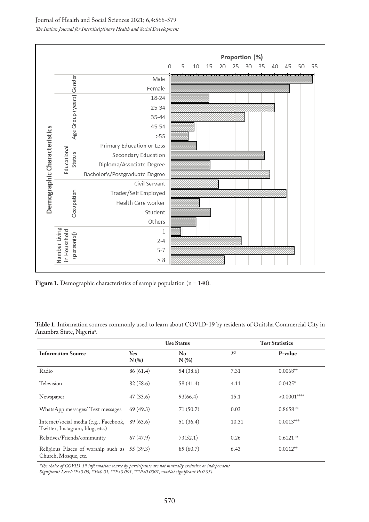Journal of Health and Social Sciences 2021; 6,4:566-579

*The Italian Journal for Interdisciplinary Health and Social Development*



Figure 1. Demographic characteristics of sample population (n = 140).

**Table 1.** Information sources commonly used to learn about COVID-19 by residents of Onitsha Commercial City in Anambra State, Nigeriaπ .

|                                                                                     |                       | <b>Use Status</b> |       | <b>Test Statistics</b> |
|-------------------------------------------------------------------------------------|-----------------------|-------------------|-------|------------------------|
| <b>Information Source</b>                                                           | <b>Yes</b><br>$N(\%)$ | No<br>$N(\%)$     | $X^2$ | P-value                |
| Radio                                                                               | 86 (61.4)             | 54 (38.6)         | 7.31  | $0.0068**$             |
| Television                                                                          | 82 (58.6)             | 58 (41.4)         | 4.11  | $0.0425*$              |
| Newspaper                                                                           | 47 (33.6)             | 93(66.4)          | 15.1  | $0.0001***$            |
| WhatsApp messages/ Text messages                                                    | 69(49.3)              | 71(50.7)          | 0.03  | $0.8658$ <sup>ns</sup> |
| Internet/social media (e.g., Facebook, 89 (63.6)<br>Twitter, Instagram, blog, etc.) |                       | 51 (36.4)         | 10.31 | $0.0013***$            |
| Relatives/Friends/community                                                         | 67(47.9)              | 73(52.1)          | 0.26  | $0.6121$ ns            |
| Religious Places of worship such as<br>Church, Mosque, etc.                         | 55 (39.3)             | 85 (60.7)         | 6.43  | $0.0112**$             |

*\*The choice of COVID-19 information source by participants are not mutually exclusive or independent* 

*Significant Level: \*P<0.05, \*\*P=0.01, \*\*\*P<0.001, \*\*\*\*P<0.0001, ns=Not significant P>0.05).*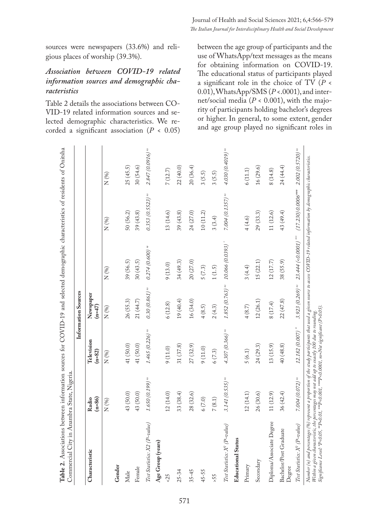sources were newspapers (33.6%) and religious places of worship (39.3%).

## *Association between COVID-19 related information sources and demographic characteristics*

Table 2 details the associations between CO-VID-19 related information sources and selected demographic characteristics. We recorded a significant association (*P* < 0.05) between the age group of participants and the use of WhatsApp/text messages as the means for obtaining information on COVID-19. The educational status of participants played a significant role in the choice of TV (*P* < 0.01), WhatsApp/SMS (*P* <.0001), and internet/social media (*P* < 0.001), with the majority of participants holding bachelor's degrees or higher. In general, to some extent, gender and age group played no significant roles in

|                                           |                              |                              | Information Sources         |                       |                      |                              |
|-------------------------------------------|------------------------------|------------------------------|-----------------------------|-----------------------|----------------------|------------------------------|
| Characteristic                            | $(n=86)$<br>Radio            | Television<br>$(n=82)$       | Newspaper<br>$(n=47)$       |                       |                      |                              |
|                                           | N (%)                        | N (%)                        | N(%)                        | $N\ (%)$              | N (%)                | N (%)                        |
| Gender                                    |                              |                              |                             |                       |                      |                              |
| Male                                      | 43 (50.0)                    | 41 (50.0)                    | 26 (55.3)                   | 39 (56.5)             | 50 (56.2)            | 25(45.5)                     |
| Female                                    | 43 (50.0)                    | 41 (50.0)                    | 21 (44.7)                   | 30(43.5)              | 39 (43.8)            | 30(54.6)                     |
| Test Statistics: X2 (P-value)             | $1.650(0.199)$ <sup>ns</sup> | $1.465(0.226)$ <sup>ns</sup> | $0.30(0.861)$ m             | $0.274(0.600)$ ns     | $0.353(0.5523)$ ms   | $2.847(0.0916)$ m            |
| Age Group (years)                         |                              |                              |                             |                       |                      |                              |
| $-25$                                     | 12(14.0)                     | 9(11.0)                      | 6(12.8)                     | 9(13.0)               | 13(14.6)             | 7(12.7)                      |
| $25 - 34$                                 | 33 (38.4)                    | 31 (37.8)                    | 19 (40.4)                   | 34 (49.3)             | 39(43.8)             | 22 (40.0)                    |
| $35 - 45$                                 | 28(32.6)                     | 27 (32.9)                    | 16 (34.0)                   | 20 (27.0)             | 24 (27.0)            | 20(36.4)                     |
| $45 - 55$                                 | 6(7.0)                       | 9(11.0)                      | 4(8.5)                      | 5(7.3)                | 10(11.2)             | 3(5.5)                       |
| 55                                        | 7(8.1)                       | 6(7.3)                       | 2(4.3)                      | $1\,(1.5)$            | 3(3.4)               | 3(5.5)                       |
| Test Statistics: X <sup>2</sup> (P-value) | $3.141(0.535)$ m             | $4.307(0.366)$ <sup>ns</sup> | $1.852(0.763)$ <sup>m</sup> | 10.066 (0.0393)       | $7.004(0.1357)$ m    | 4.030 (0.4019) <sup>ns</sup> |
| <b>Educational Status</b>                 |                              |                              |                             |                       |                      |                              |
| Primary                                   | 12(14.1)                     | 5(6.1)                       | 4(8.7)                      | 3(4.4)                | 4(4.6)               | 6(11.1)                      |
| Secondary                                 | 26 (30.6)                    | 24(29.3)                     | 12(26.1)                    | 15(22.1)              | 29 (33.3)            | 16(29.6)                     |
| Diploma/Associate Degree                  | 11 (12.9)                    | 13 (15.9)                    | 8(17.4)                     | 12(17.7)              | 11 (12.6)            | 8(14.8)                      |
| Bachelor/Post Graduate<br>Degree          | 36 (42.4)                    | 40 (48.8)                    | 22(47.8)                    | 38 (55.9)             | 43 (49.4)            | 24 (44.4)                    |
| Test Statistics: X <sup>2</sup> (P-value) | $7.004(0.072)$ m             | 12.182 (0.007) **            | $3.923(0.269)$ m            | 23.444 (<0.0001) **** | $(17.230)$ 0.0006*** | $2.002(0.5720)$ m            |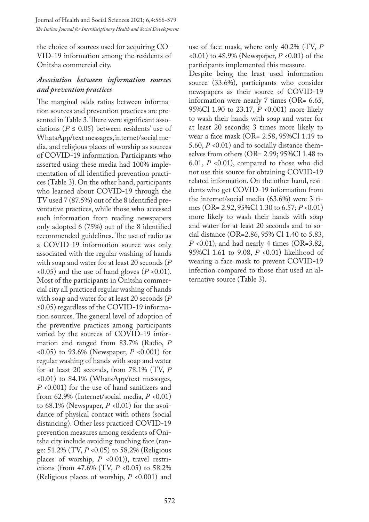the choice of sources used for acquiring CO-VID-19 information among the residents of Onitsha commercial city.

#### *Association between information sources and prevention practices*

The marginal odds ratios between information sources and prevention practices are presented in Table 3. There were significant associations ( $P \leq 0.05$ ) between residents' use of WhatsApp/text messages, internet/social media, and religious places of worship as sources of COVID-19 information. Participants who asserted using these media had 100% implementation of all identified prevention practices (Table 3). On the other hand, participants who learned about COVID-19 through the TV used 7 (87.5%) out of the 8 identified preventative practices, while those who accessed such information from reading newspapers only adopted 6 (75%) out of the 8 identified recommended guidelines. The use of radio as a COVID-19 information source was only associated with the regular washing of hands with soap and water for at least 20 seconds (*P*  $(0.05)$  and the use of hand gloves ( $P \le 0.01$ ). Most of the participants in Onitsha commercial city all practiced regular washing of hands with soap and water for at least 20 seconds (*P* ≤0.05) regardless of the COVID-19 information sources. The general level of adoption of the preventive practices among participants varied by the sources of COVID-19 information and ranged from 83.7% (Radio, *P* <0.05) to 93.6% (Newspaper, *P* <0.001) for regular washing of hands with soap and water for at least 20 seconds, from 78.1% (TV, *P* <0.01) to 84.1% (WhatsApp/text messages, *P* <0.001) for the use of hand sanitizers and from 62.9% (Internet/social media, *P* <0.01) to 68.1% (Newspaper,  $P \le 0.01$ ) for the avoidance of physical contact with others (social distancing). Other less practiced COVID-19 prevention measures among residents of Onitsha city include avoiding touching face (range: 51.2% (TV, *P* <0.05) to 58.2% (Religious places of worship, *P* <0.01)), travel restrictions (from 47.6% (TV, *P* <0.05) to 58.2% (Religious places of worship, *P* <0.001) and

use of face mask, where only 40.2% (TV, *P* <0.01) to 48.9% (Newspaper, *P* <0.01) of the participants implemented this measure.

Despite being the least used information source (33.6%), participants who consider newspapers as their source of COVID-19 information were nearly 7 times (OR= 6.65, 95%Cl 1.90 to 23.17, *P* <0.001) more likely to wash their hands with soap and water for at least 20 seconds; 3 times more likely to wear a face mask (OR= 2.58, 95%Cl 1.19 to 5.60, *P* <0.01) and to socially distance themselves from others (OR= 2.99; 95%Cl 1.48 to 6.01, *P* <0.01), compared to those who did not use this source for obtaining COVID-19 related information. On the other hand, residents who get COVID-19 information from the internet/social media (63.6%) were 3 times (OR= 2.92, 95%Cl 1.30 to 6.57; *P* <0.01) more likely to wash their hands with soap and water for at least 20 seconds and to social distance (OR=2.86, 95% Cl 1.40 to 5.83, *P* <0.01), and had nearly 4 times (OR=3.82, 95%Cl 1.61 to 9.08, *P* <0.01) likelihood of wearing a face mask to prevent COVID-19 infection compared to those that used an alternative source (Table 3).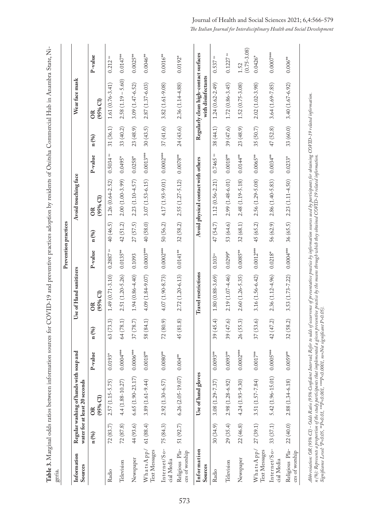| geria.                           |           |                                                                                                                                                                                                           |             |           |                             |                      | Prevention practices |                                    |                        |           |                                                             |                         |
|----------------------------------|-----------|-----------------------------------------------------------------------------------------------------------------------------------------------------------------------------------------------------------|-------------|-----------|-----------------------------|----------------------|----------------------|------------------------------------|------------------------|-----------|-------------------------------------------------------------|-------------------------|
| Information<br>Sources           |           | Regular washing of hands with soap and<br>water for at least 20 seconds                                                                                                                                   |             |           | Use of Hand sanitizers      |                      |                      | Avoid touching face                |                        |           | Wear face mask                                              |                         |
|                                  | n (%)     | $(95%$ Cl)<br>$\frac{8}{2}$                                                                                                                                                                               | P-value     | n (%)     | $(95%$ Cl)<br>$\frac{R}{C}$ | P-value              | n (%)                | $(95%$ Cl)<br>$\frac{R}{C}$        | P-value                | n (%)     | $(95%$ Cl)<br>$\frac{R}{C}$                                 | P-value                 |
| Radio                            | 72(83.7)  | $2.57(1.15 - 5.75)$                                                                                                                                                                                       | $0.0193*$   | 63(73.3)  | $1.49(0.71 - 3.10)$         | $0.2887$ $^{\rm ns}$ | 40 (46.5)            | $1.26(0.64 - 2.52)$                | $0.5034$ ns            | 31(36.1)  | $1.61(0.76 - 3.41)$                                         | $\mathbf{n}$<br>0.212   |
| Television                       | 72(87.8)  | $4.4(1.88 - 10.27)$                                                                                                                                                                                       | $0.0004***$ | 64(78.1)  | 2.51 (1.20-5.26)            | $0.0135***$          | 42 (51.2)            | $2.00(1.00-3.99)$                  | $0.0495*$              | 33 (40.2) | $2.58(1.19 - 5.60)$                                         | $0.0147***$             |
| Newspaper                        | 44 (93.6) | $6.65(1.90 - 23.17)$                                                                                                                                                                                      | $0.0006***$ | 37 (78.7) | $1.94(0.86 - 4.40)$         | 0.1093               | 27 (57.5)            | $2.23(1.10 - 4.57)$                | $0.0258*$              | 23 (48.9) | 3.09 (1.47-6.52)                                            | $0.0025**$              |
| WhatsApp/<br>Text Messages       | 61(88.4)  | $3.89(1.61 - 9.44)$                                                                                                                                                                                       | $0.0018***$ | 58 (84.1) | 4.09 (1.84-9.07)            | $0.0003***$          | 40 (58.0)            | $3.07(1.53 - 6.15)$                | $0.0013***$            | 30(43.5)  | 2.87 (1.37-6.03)                                            | $0.0046**$              |
| Internet/So-<br>cial Media       | 75(84.3)  | $2.92(1.30 - 6.57)$                                                                                                                                                                                       | $0.0080**$  | 72(80.9)  | 4.07 (1.90-8.73)            | $0.0002***$          | 50 (56.2)            | 4.17 (1.93-9.01)                   | $0.0002***$            | 37(41.6)  | 3.82 (1.61-9.08)                                            | $0.0016***$             |
| Religious Pla-<br>ces of worship | 51 (92.7) | $6.26(2.05-19.07)$                                                                                                                                                                                        | $0.004***$  | 45 (81.8) | 2.72 (1.20-6.13)            | $0.0141***$          | 32(58.2)             | 2.55 (1.27-5.12)                   | $0.0078***$            | 24(43.6)  | 2.36 (1.14-4.88)                                            | $0.0192*$               |
| Information<br>Sources           |           | Use of hand gloves                                                                                                                                                                                        |             |           | Travel restrictions         |                      |                      | Avoid physical contact with others |                        |           | Regularly clean high-contact surfaces<br>with disinfectants |                         |
| Radio                            | 30(34.9)  | 3.08 (1.29-7.37)                                                                                                                                                                                          | $0.0093**$  | 39(45.4)  | $1.80(0.88-3.69)$           | 0.103 <sup>ns</sup>  | 47 (54.7)            | $1.12(0.56 - 2.21)$                | $0.7465$ <sup>ns</sup> | 38 (44.1) | $1.24(0.62 - 2.49)$                                         | $\mathbf{m}$<br>0.537   |
| Television                       | 29(35.4)  | $2.98(1.28-6.92)$                                                                                                                                                                                         | $0.0093***$ | 39(47.6)  | 2.19 (1.07-4.46)            | $0.0299*$            | 53 (64.6)            | 2.99 (1.48-6.01)                   | $0.0018***$            | 39(47.6)  | $1.72(0.86 - 3.45)$                                         | $0.1227$ as             |
| Newspaper                        | 22(46.8)  | $4.24(1.93 - 9.30)$                                                                                                                                                                                       | $0.0002***$ | 26 (55.3) | $2.60(1.26 - 5.35)$         | $0.0085***$          | 32(68.1)             | 2.48 (1.19-5.18)                   | $0.0144***$            | 23 (48.9) | $1.52(0.75-3.08)$                                           | $(0.75 - 3.08)$<br>1.52 |
| WhatsApp/<br>Text Messages       | 27(39.1)  | 3.51 (1.57-7.84)                                                                                                                                                                                          | $0.0017***$ | 37 (53.6) | 3.16 (1.56-6.42)            | $0.0012***$          | 45 (65.2)            | 2.56 (1.29-5.08)                   | $0.0065***$            | 35 (50.7) | $2.02(1.02 - 3.98)$                                         | $0.0426*$               |
| Internet/So-<br>cial Media       | 33 (37.1) | $5.42(1.96 - 15.01)$                                                                                                                                                                                      | $0.0005***$ | 42 (47.2) | 2.36 (1.12-4.96)            | $0.0218*$            | 56 (62.9)            | 2.86 (1.40-5.83)                   | $0.0034***$            | 47 (52.8) | 3.64 (1.69-7.85)                                            | $0.0007***$             |
| Religious Pla-<br>ces of worship | 22(40.0)  | $2.88(1.34-6.18)$                                                                                                                                                                                         | $0.0059**$  | 32(58.2)  | 3.53 (1.73-7.22)            | $0.0004***$          | 36 (65.5)            | $2.23(1.11 - 4.50)$                | $0.0233*$              | 33 (60.0) | $3.40(1.67-6.92)$                                           | $0.006^{**}$            |
|                                  |           | Abbreviation: OR (95% CI) – Odá Ratio (95% Confident Interval; Refer to odá of occurrence of preventative pratice by information sources used by participants for obtaining COVID–19 related information. |             |           |                             |                      |                      |                                    |                        |           |                                                             |                         |

*Abbreviation: OR (95% CI) - Odds Ratio (95% Confident Interval; Refer to odds of occurrence of preventative practice by information sources used by participants for obtaining COVID-19 related information.* Abbreviation: UK (95% CL) – Udas Katto (95% Confident Interval; Kefer to odas of ocurrence of precentative pratticm sources used by participants for cotaning<br>n (%): Represents a proportion of the study participants that im *n (%): Represents a proportion of the study participants that implemented a given preventive practice by the means through which they obtained COVID-19 related information. Significance Level: \*P<0.05, \*\*P=0.01, \*\*\*P<0.001, \*\*\*\*P<0.0001, ns=Not significant P>0.05).*

Journal of Health and Social Sciences 2021; 6,4:566-579 *The Italian Journal for Interdisciplinary Health and Social Development*

573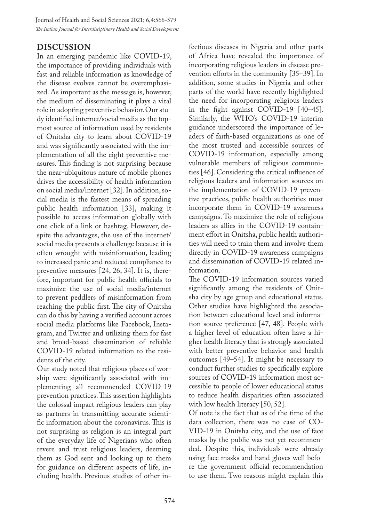#### **DISCUSSION**

In an emerging pandemic like COVID-19, the importance of providing individuals with fast and reliable information as knowledge of the disease evolves cannot be overemphasized. As important as the message is, however, the medium of disseminating it plays a vital role in adopting preventive behavior. Our study identified internet/social media as the topmost source of information used by residents of Onitsha city to learn about COVID-19 and was significantly associated with the implementation of all the eight preventive measures. This finding is not surprising because the near-ubiquitous nature of mobile phones drives the accessibility of health information on social media/internet [32]. In addition, social media is the fastest means of spreading public health information [33], making it possible to access information globally with one click of a link or hashtag. However, despite the advantages, the use of the internet/ social media presents a challenge because it is often wrought with misinformation, leading to increased panic and reduced compliance to preventive measures [24, 26, 34]. It is, therefore, important for public health officials to maximize the use of social media/internet to prevent peddlers of misinformation from reaching the public first. The city of Onitsha can do this by having a verified account across social media platforms like Facebook, Instagram, and Twitter and utilizing them for fast and broad-based dissemination of reliable COVID-19 related information to the residents of the city.

Our study noted that religious places of worship were significantly associated with implementing all recommended COVID-19 prevention practices. This assertion highlights the colossal impact religious leaders can play as partners in transmitting accurate scientific information about the coronavirus. This is not surprising as religion is an integral part of the everyday life of Nigerians who often revere and trust religious leaders, deeming them as God sent and looking up to them for guidance on different aspects of life, including health. Previous studies of other infectious diseases in Nigeria and other parts of Africa have revealed the importance of incorporating religious leaders in disease prevention efforts in the community [35–39]. In addition, some studies in Nigeria and other parts of the world have recently highlighted the need for incorporating religious leaders in the fight against COVID-19 [40–45]. Similarly, the WHO's COVID-19 interim guidance underscored the importance of leaders of faith-based organizations as one of the most trusted and accessible sources of COVID-19 information, especially among vulnerable members of religious communities [46]. Considering the critical influence of religious leaders and information sources on the implementation of COVID-19 preventive practices, public health authorities must incorporate them in COVID-19 awareness campaigns. To maximize the role of religious leaders as allies in the COVID-19 containment effort in Onitsha, public health authorities will need to train them and involve them directly in COVID-19 awareness campaigns and dissemination of COVID-19 related information.

The COVID-19 information sources varied significantly among the residents of Onitsha city by age group and educational status. Other studies have highlighted the association between educational level and information source preference [47, 48]. People with a higher level of education often have a higher health literacy that is strongly associated with better preventive behavior and health outcomes [49–54]. It might be necessary to conduct further studies to specifically explore sources of COVID-19 information most accessible to people of lower educational status to reduce health disparities often associated with low health literacy [50, 52].

Of note is the fact that as of the time of the data collection, there was no case of CO-VID-19 in Onitsha city, and the use of face masks by the public was not yet recommended. Despite this, individuals were already using face masks and hand gloves well before the government official recommendation to use them. Two reasons might explain this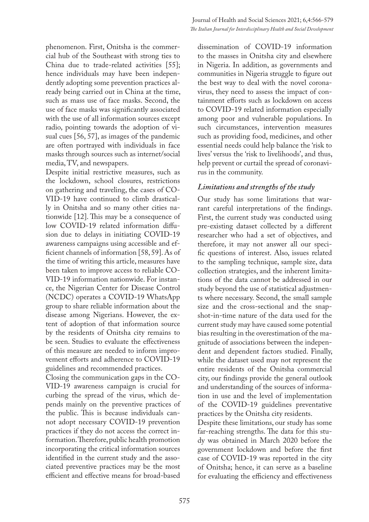phenomenon. First, Onitsha is the commercial hub of the Southeast with strong ties to China due to trade-related activities [55]; hence individuals may have been independently adopting some prevention practices already being carried out in China at the time, such as mass use of face masks. Second, the use of face masks was significantly associated with the use of all information sources except radio, pointing towards the adoption of visual cues [56, 57], as images of the pandemic are often portrayed with individuals in face masks through sources such as internet/social media, TV, and newspapers.

Despite initial restrictive measures, such as the lockdown, school closures, restrictions on gathering and traveling, the cases of CO-VID-19 have continued to climb drastically in Onitsha and so many other cities nationwide [12]. This may be a consequence of low COVID-19 related information diffusion due to delays in initiating COVID-19 awareness campaigns using accessible and efficient channels of information [58, 59]. As of the time of writing this article, measures have been taken to improve access to reliable CO-VID-19 information nationwide. For instance, the Nigerian Center for Disease Control (NCDC) operates a COVID-19 WhatsApp group to share reliable information about the disease among Nigerians. However, the extent of adoption of that information source by the residents of Onitsha city remains to be seen. Studies to evaluate the effectiveness of this measure are needed to inform improvement efforts and adherence to COVID-19 guidelines and recommended practices.

Closing the communication gaps in the CO-VID-19 awareness campaign is crucial for curbing the spread of the virus, which depends mainly on the preventive practices of the public. This is because individuals cannot adopt necessary COVID-19 prevention practices if they do not access the correct information. Therefore, public health promotion incorporating the critical information sources identified in the current study and the associated preventive practices may be the most efficient and effective means for broad-based

dissemination of COVID-19 information to the masses in Onitsha city and elsewhere in Nigeria. In addition, as governments and communities in Nigeria struggle to figure out the best way to deal with the novel coronavirus, they need to assess the impact of containment efforts such as lockdown on access to COVID-19 related information especially among poor and vulnerable populations. In such circumstances, intervention measures such as providing food, medicines, and other essential needs could help balance the 'risk to lives' versus the 'risk to livelihoods', and thus, help prevent or curtail the spread of coronavirus in the community.

### *Limitations and strengths of the study*

Our study has some limitations that warrant careful interpretations of the findings. First, the current study was conducted using pre-existing dataset collected by a different researcher who had a set of objectives, and therefore, it may not answer all our specific questions of interest. Also, issues related to the sampling technique, sample size, data collection strategies, and the inherent limitations of the data cannot be addressed in our study beyond the use of statistical adjustments where necessary. Second, the small sample size and the cross-sectional and the snapshot-in-time nature of the data used for the current study may have caused some potential bias resulting in the overestimation of the magnitude of associations between the independent and dependent factors studied. Finally, while the dataset used may not represent the entire residents of the Onitsha commercial city, our findings provide the general outlook and understanding of the sources of information in use and the level of implementation of the COVID-19 guidelines preventative practices by the Onitsha city residents.

Despite these limitations, our study has some far-reaching strengths. The data for this study was obtained in March 2020 before the government lockdown and before the first case of COVID-19 was reported in the city of Onitsha; hence, it can serve as a baseline for evaluating the efficiency and effectiveness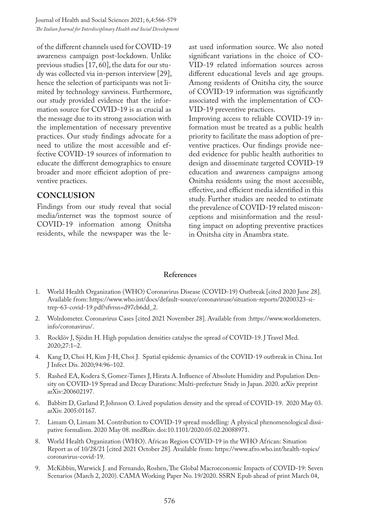of the different channels used for COVID-19 awareness campaign post-lockdown. Unlike previous studies [17, 60], the data for our study was collected via in-person interview [29], hence the selection of participants was not limited by technology savviness. Furthermore, our study provided evidence that the information source for COVID-19 is as crucial as the message due to its strong association with the implementation of necessary preventive practices. Our study findings advocate for a need to utilize the most accessible and effective COVID-19 sources of information to educate the different demographics to ensure broader and more efficient adoption of preventive practices.

#### **CONCLUSION**

Findings from our study reveal that social media/internet was the topmost source of COVID-19 information among Onitsha residents, while the newspaper was the le-

ast used information source. We also noted significant variations in the choice of CO-VID-19 related information sources across different educational levels and age groups. Among residents of Onitsha city, the source of COVID-19 information was significantly associated with the implementation of CO-VID-19 preventive practices.

Improving access to reliable COVID-19 information must be treated as a public health priority to facilitate the mass adoption of preventive practices. Our findings provide needed evidence for public health authorities to design and disseminate targeted COVID-19 education and awareness campaigns among Onitsha residents using the most accessible, effective, and efficient media identified in this study. Further studies are needed to estimate the prevalence of COVID-19 related misconceptions and misinformation and the resulting impact on adopting preventive practices in Onitsha city in Anambra state.

#### **References**

- 1. World Health Organization (WHO) Coronavirus Disease (COVID-19) Outbreak [cited 2020 June 28]. Available from: https://www.who.int/docs/default-source/coronaviruse/situation-reports/20200323-sitrep-63-covid-19.pdf?sfvrsn=d97cb6dd\_2.
- 2. Wolrdometer. Coronavirus Cases [cited 2021 November 28]. Available from :https://www.worldometers. info/coronavirus/.
- 3. Rocklöv J, Sjödin H. High population densities catalyse the spread of COVID-19. J Travel Med. 2020;27:1–2.
- 4. Kang D, Choi H, Kim J-H, Choi J. Spatial epidemic dynamics of the COVID-19 outbreak in China. Int J Infect Dis. 2020;94:96–102.
- 5. Rashed EA, Kodera S, Gomez-Tames J, Hirata A. Influence of Absolute Humidity and Population Density on COVID-19 Spread and Decay Durations: Multi-prefecture Study in Japan. 2020. arXiv preprint arXiv:200602197.
- 6. Babbitt D, Garland P, Johnson O. Lived population density and the spread of COVID-19. 2020 May 03. arXiv. 2005:01167.
- 7. Limam O, Limam M. Contribution to COVID-19 spread modelling: A physical phenomenological dissipative formalism. 2020 May 08. medRxiv. doi:10.1101/2020.05.02.20088971.
- 8. World Health Organization (WHO). African Region COVID-19 in the WHO African: Situation Report as of 10/28/21 [cited 2021 October 28]. Available from: https://www.afro.who.int/health-topics/ coronavirus-covid-19.
- 9. McKibbin, Warwick J. and Fernando, Roshen, The Global Macroeconomic Impacts of COVID-19: Seven Scenarios (March 2, 2020). CAMA Working Paper No. 19/2020. SSRN Epub ahead of print March 04,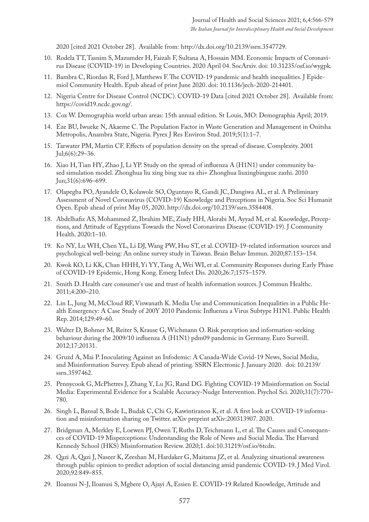2020 [cited 2021 October 28]. Available from: http://dx.doi.org/10.2139/ssrn.3547729.

- 10. Rodela TT, Tasnim S, Mazumder H, Faizah F, Sultana A, Hossain MM. Economic Impacts of Coronavirus Disease (COVID-19) in Developing Countries. 2020 April 04. SocArxiv. doi: 10.31235/osf.io/wygpk.
- 11. Bambra C, Riordan R, Ford J, Matthews F. The COVID-19 pandemic and health inequalities. J Epidemiol Community Health. Epub ahead of print June 2020. doi: 10.1136/jech-2020-214401.
- 12. Nigeria Centre for Disease Control (NCDC). COVID-19 Data [cited 2021 October 28]. Available from: https://covid19.ncdc.gov.ng/.
- 13. Cox W. Demographia world urban areas: 15th annual edition. St Louis, MO: Demographia April; 2019.
- 14. Eze BU, Iwueke N, Akaeme C. The Population Factor in Waste Generation and Management in Onitsha Metropolis, Anambra State, Nigeria. Pyrex J Res Environ Stud. 2019;5(1):1–7.
- 15. Tarwater PM, Martin CF. Effects of population density on the spread of disease. Complexity. 2001 Jul;6(6):29–36.
- 16. Xiao H, Tian HY, Zhao J, Li YP. Study on the spread of influenza A (H1N1) under community based simulation model. Zhonghua liu xing bing xue za zhi= Zhonghua liuxingbingxue zazhi. 2010 Jun;31(6):696–699.
- 17. Olapegba PO, Ayandele O, Kolawole SO, Oguntayo R, Gandi JC, Dangiwa AL, et al. A Preliminary Assessment of Novel Coronavirus (COVID-19) Knowledge and Perceptions in Nigeria. Soc Sci Humanit Open. Epub ahead of print May 05, 2020. http://dx.doi.org/10.2139/ssrn.3584408.
- 18. Abdelhafiz AS, Mohammed Z, Ibrahim ME, Ziady HH, Alorabi M, Ayyad M, et al. Knowledge, Perceptions, and Attitude of Egyptians Towards the Novel Coronavirus Disease (COVID-19). J Community Health. 2020:1–10.
- 19. Ko NY, Lu WH, Chen YL, Li DJ, Wang PW, Hsu ST, et al. COVID-19-related information sources and psychological well-being: An online survey study in Taiwan. Brain Behav Immun. 2020;87:153–154.
- 20. Kwok KO, Li KK, Chan HHH, Yi YY, Tang A, Wei WI, et al. Community Responses during Early Phase of COVID-19 Epidemic, Hong Kong. Emerg Infect Dis. 2020;26:7;1575–1579.
- 21. Smith D. Health care consumer's use and trust of health information sources. J Commun Healthc. 2011;4:200–210.
- 22. Lin L, Jung M, McCloud RF, Viswanath K. Media Use and Communication Inequalities in a Public Health Emergency: A Case Study of 200Y 2010 Pandemic Influenza a Virus Subtype H1N1. Public Health Rep. 2014;129:49–60.
- 23. Walter D, Bohmer M, Reiter S, Krause G, Wichmann O. Risk perception and information-seeking behaviour during the 2009/10 influenza A (H1N1) pdm09 pandemic in Germany. Euro Surveill. 2012;17:20131.
- 24. Gruzd A, Mai P. Inoculating Against an Infodemic: A Canada-Wide Covid-19 News, Social Media, and Misinformation Survey. Epub ahead of printing. SSRN Electronic J. January 2020. doi: 10.2139/ ssrn.3597462.
- 25. Pennycook G, McPhetres J, Zhang Y, Lu JG, Rand DG. Fighting COVID-19 Misinformation on Social Media: Experimental Evidence for a Scalable Accuracy-Nudge Intervention. Psychol Sci. 2020;31(7):770– 780.
- 26. Singh L, Bansal S, Bode L, Budak C, Chi G, Kawintiranon K, et al. A first look at COVID-19 information and misinformation sharing on Twitter. arXiv preprint arXiv:200313907. 2020.
- 27. Bridgman A, Merkley E, Loewen PJ, Owen T, Ruths D, Teichmann L, et al. The Causes and Consequences of COVID-19 Misperceptions: Understanding the Role of News and Social Media. The Harvard Kennedy School (HKS) Misinformation Review. 2020;1. doi:10.31219/osf.io/6tcdn.
- 28. Qazi A, Qazi J, Naseer K, Zeeshan M, Hardaker G, Maitama JZ, et al. Analyzing situational awareness through public opinion to predict adoption of social distancing amid pandemic COVID-19. J Med Virol. 2020;92:849–855.
- 29. Iloanusi N-J, Iloanusi S, Mgbere O, Ajayi A, Essien E. COVID-19 Related Knowledge, Attitude and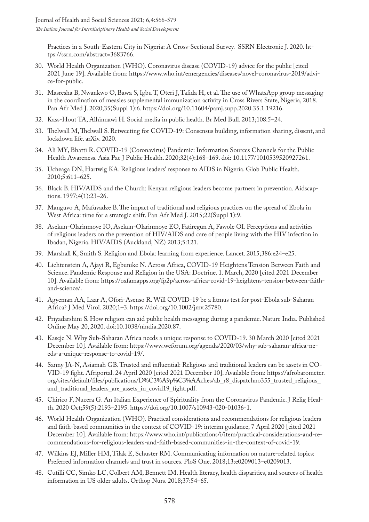Practices in a South-Eastern City in Nigeria: A Cross-Sectional Survey. SSRN Electronic J. 2020. https://ssrn.com/abstract=3683766.

- 30. World Health Organization (WHO). Coronavirus disease (COVID-19) advice for the public [cited 2021 June 19]. Available from: https://www.who.int/emergencies/diseases/novel-coronavirus-2019/advice-for-public.
- 31. Masresha B, Nwankwo O, Bawa S, Igbu T, Oteri J, Tafida H, et al. The use of WhatsApp group messaging in the coordination of measles supplemental immunization activity in Cross Rivers State, Nigeria, 2018. Pan Afr Med J. 2020;35(Suppl 1):6. https://doi.org/10.11604/pamj.supp.2020.35.1.19216.
- 32. Kass-Hout TA, Alhinnawi H. Social media in public health. Br Med Bull. 2013;108:5–24.
- 33. Thelwall M, Thelwall S. Retweeting for COVID-19: Consensus building, information sharing, dissent, and lockdown life. arXiv. 2020.
- 34. Ali MY, Bhatti R. COVID-19 (Coronavirus) Pandemic: Information Sources Channels for the Public Health Awareness. Asia Pac J Public Health. 2020;32(4):168–169. doi: 10.1177/1010539520927261.
- 35. Ucheaga DN, Hartwig KA. Religious leaders' response to AIDS in Nigeria. Glob Public Health. 2010;5:611–625.
- 36. Black B. HIV/AIDS and the Church: Kenyan religious leaders become partners in prevention. Aidscaptions. 1997;4(1):23–26.
- 37. Manguvo A, Mafuvadze B. The impact of traditional and religious practices on the spread of Ebola in West Africa: time for a strategic shift. Pan Afr Med J. 2015;22(Suppl 1):9.
- 38. Asekun-Olarinmoye IO, Asekun-Olarinmoye EO, Fatiregun A, Fawole OI. Perceptions and activities of religious leaders on the prevention of HIV/AIDS and care of people living with the HIV infection in Ibadan, Nigeria. HIV/AIDS (Auckland, NZ) 2013;5:121.
- 39. Marshall K, Smith S. Religion and Ebola: learning from experience. Lancet. 2015;386:e24–e25.
- 40. Lichtenstein A, Ajayi R, Egbunike N. Across Africa, COVID-19 Heightens Tension Between Faith and Science. Pandemic Response and Religion in the USA: Doctrine. 1. March, 2020 [cited 2021 December 10]. Available from: https://oxfamapps.org/fp2p/across-africa-covid-19-heightens-tension-between-faithand-science/.
- 41. Agyeman AA, Laar A, Ofori-Asenso R. Will COVID-19 be a litmus test for post-Ebola sub-Saharan Africa? J Med Virol. 2020;1–3. https://doi.org/10.1002/jmv.25780.
- 42. Priyadarshini S. How religion can aid public health messaging during a pandemic. Nature India. Published Online May 20, 2020. doi:10.1038/nindia.2020.87.
- 43. Kaseje N. Why Sub-Saharan Africa needs a unique response to COVID-19. 30 March 2020 [cited 2021 December 10]. Available from: https://www.weforum.org/agenda/2020/03/why-sub-saharan-africa-needs-a-unique-response-to-covid-19/.
- 44. Sanny JA-N, Asiamah GB. Trusted and influential: Religious and traditional leaders can be assets in CO-VID-19 fight. Afriportal. 24 April 2020 [cited 2021 December 10]. Available from: https://afrobarometer. org/sites/default/files/publications/D%C3%A9p%C3%AAches/ab\_r8\_dispatchno355\_trusted\_religious\_ and\_traditional\_leaders\_are\_assets\_in\_covid19\_fight.pdf.
- 45. Chirico F, Nucera G. An Italian Experience of Spirituality from the Coronavirus Pandemic. J Relig Health. 2020 Oct;59(5):2193–2195. https://doi.org/10.1007/s10943-020-01036-1.
- 46. World Health Organization (WHO). Practical considerations and recommendations for religious leaders and faith-based communities in the context of COVID-19: interim guidance, 7 April 2020 [cited 2021 December 10]. Available from: https://www.who.int/publications/i/item/practical-considerations-and-recommendations-for-religious-leaders-and-faith-based-communities-in-the-context-of-covid-19.
- 47. Wilkins EJ, Miller HM, Tilak E, Schuster RM. Communicating information on nature-related topics: Preferred information channels and trust in sources. PloS One. 2018;13:e0209013–e0209013.
- 48. Cutilli CC, Simko LC, Colbert AM, Bennett IM. Health literacy, health disparities, and sources of health information in US older adults. Orthop Nurs. 2018;37:54–65.